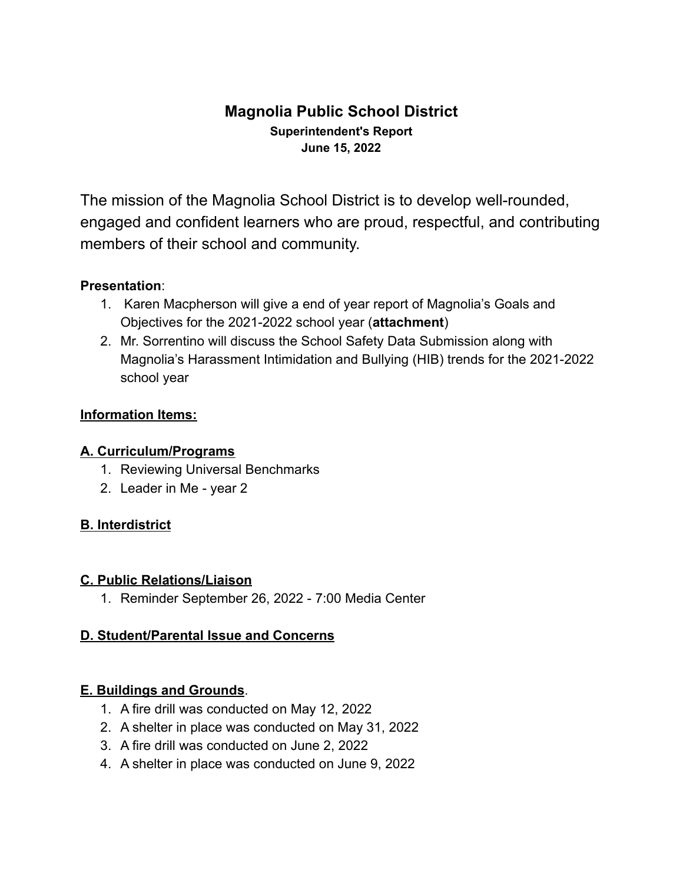# **Magnolia Public School District Superintendent's Report June 15, 2022**

The mission of the Magnolia School District is to develop well-rounded, engaged and confident learners who are proud, respectful, and contributing members of their school and community.

### **Presentation**:

- 1. Karen Macpherson will give a end of year report of Magnolia's Goals and Objectives for the 2021-2022 school year (**attachment**)
- 2. Mr. Sorrentino will discuss the School Safety Data Submission along with Magnolia's Harassment Intimidation and Bullying (HIB) trends for the 2021-2022 school year

### **Information Items:**

#### **A. Curriculum/Programs**

- 1. Reviewing Universal Benchmarks
- 2. Leader in Me year 2

### **B. Interdistrict**

#### **C. Public Relations/Liaison**

1. Reminder September 26, 2022 - 7:00 Media Center

#### **D. Student/Parental Issue and Concerns**

#### **E. Buildings and Grounds**.

- 1. A fire drill was conducted on May 12, 2022
- 2. A shelter in place was conducted on May 31, 2022
- 3. A fire drill was conducted on June 2, 2022
- 4. A shelter in place was conducted on June 9, 2022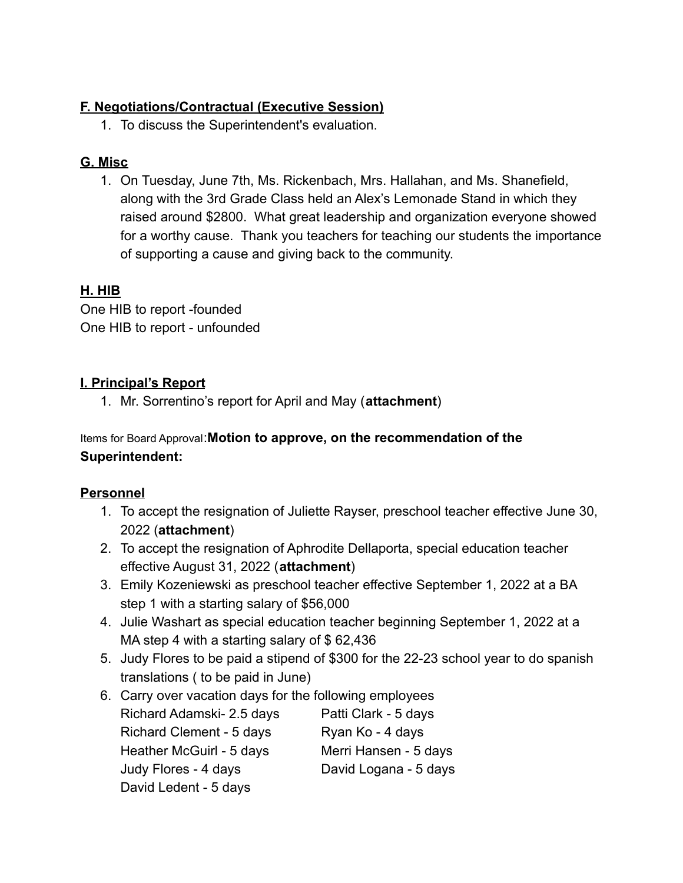### **F. Negotiations/Contractual (Executive Session)**

1. To discuss the Superintendent's evaluation.

# **G. Misc**

1. On Tuesday, June 7th, Ms. Rickenbach, Mrs. Hallahan, and Ms. Shanefield, along with the 3rd Grade Class held an Alex's Lemonade Stand in which they raised around \$2800. What great leadership and organization everyone showed for a worthy cause. Thank you teachers for teaching our students the importance of supporting a cause and giving back to the community.

# **H. HIB**

One HIB to report -founded One HIB to report - unfounded

# **I. Principal's Report**

1. Mr. Sorrentino's report for April and May (**attachment**)

### Items for Board Approval:**Motion to approve, on the recommendation of the Superintendent:**

# **Personnel**

- 1. To accept the resignation of Juliette Rayser, preschool teacher effective June 30, 2022 (**attachment**)
- 2. To accept the resignation of Aphrodite Dellaporta, special education teacher effective August 31, 2022 (**attachment**)
- 3. Emily Kozeniewski as preschool teacher effective September 1, 2022 at a BA step 1 with a starting salary of \$56,000
- 4. Julie Washart as special education teacher beginning September 1, 2022 at a MA step 4 with a starting salary of \$62,436
- 5. Judy Flores to be paid a stipend of \$300 for the 22-23 school year to do spanish translations ( to be paid in June)
- 6. Carry over vacation days for the following employees Richard Adamski- 2.5 days Patti Clark - 5 days Richard Clement - 5 days Ryan Ko - 4 days Heather McGuirl - 5 days Merri Hansen - 5 days Judy Flores - 4 days David Logana - 5 days David Ledent - 5 days